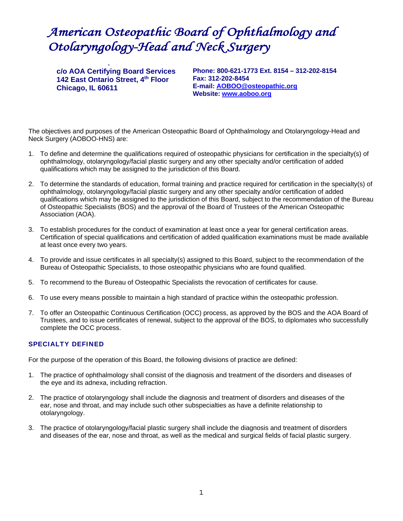# *American Osteopathic Board of Ophthalmology and Otolaryngology-Head and Neck Surgery*

p<br>PPROTOCOL FOR CERTIFICATION

**c/o AOA Certifying Board Services 142 East Ontario Street, 4th Floor Chicago, IL 60611** 

**Phone: 800-621-1773 Ext. 8154 – 312-202-8154 Fax: 312-202-8454 E-mail: AOBOO@osteopathic.org Website: www.aoboo.org** 

The objectives and purposes of the American Osteopathic Board of Ophthalmology and Otolaryngology-Head and Neck Surgery (AOBOO-HNS) are:

- 1. To define and determine the qualifications required of osteopathic physicians for certification in the specialty(s) of ophthalmology, otolaryngology/facial plastic surgery and any other specialty and/or certification of added qualifications which may be assigned to the jurisdiction of this Board.
- 2. To determine the standards of education, formal training and practice required for certification in the specialty(s) of ophthalmology, otolaryngology/facial plastic surgery and any other specialty and/or certification of added qualifications which may be assigned to the jurisdiction of this Board, subject to the recommendation of the Bureau of Osteopathic Specialists (BOS) and the approval of the Board of Trustees of the American Osteopathic Association (AOA).
- 3. To establish procedures for the conduct of examination at least once a year for general certification areas. Certification of special qualifications and certification of added qualification examinations must be made available at least once every two years.
- 4. To provide and issue certificates in all specialty(s) assigned to this Board, subject to the recommendation of the Bureau of Osteopathic Specialists, to those osteopathic physicians who are found qualified.
- 5. To recommend to the Bureau of Osteopathic Specialists the revocation of certificates for cause.
- 6. To use every means possible to maintain a high standard of practice within the osteopathic profession.
- 7. To offer an Osteopathic Continuous Certification (OCC) process, as approved by the BOS and the AOA Board of Trustees, and to issue certificates of renewal, subject to the approval of the BOS, to diplomates who successfully complete the OCC process.

# SPECIALTY DEFINED

For the purpose of the operation of this Board, the following divisions of practice are defined:

- 1. The practice of ophthalmology shall consist of the diagnosis and treatment of the disorders and diseases of the eye and its adnexa, including refraction.
- 2. The practice of otolaryngology shall include the diagnosis and treatment of disorders and diseases of the ear, nose and throat, and may include such other subspecialties as have a definite relationship to otolaryngology.
- 3. The practice of otolaryngology/facial plastic surgery shall include the diagnosis and treatment of disorders and diseases of the ear, nose and throat, as well as the medical and surgical fields of facial plastic surgery.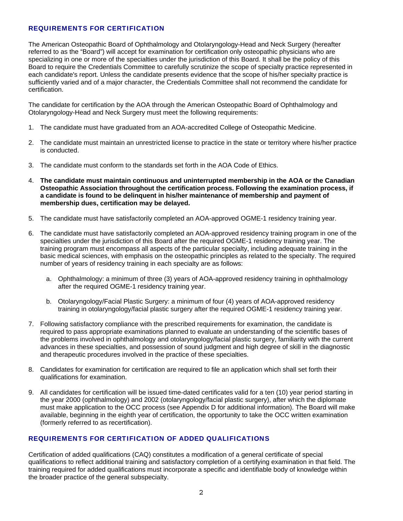# REQUIREMENTS FOR CERTIFICATION

The American Osteopathic Board of Ophthalmology and Otolaryngology-Head and Neck Surgery (hereafter referred to as the "Board") will accept for examination for certification only osteopathic physicians who are specializing in one or more of the specialties under the jurisdiction of this Board. It shall be the policy of this Board to require the Credentials Committee to carefully scrutinize the scope of specialty practice represented in each candidate's report. Unless the candidate presents evidence that the scope of his/her specialty practice is sufficiently varied and of a major character, the Credentials Committee shall not recommend the candidate for certification.

The candidate for certification by the AOA through the American Osteopathic Board of Ophthalmology and Otolaryngology-Head and Neck Surgery must meet the following requirements:

- 1. The candidate must have graduated from an AOA-accredited College of Osteopathic Medicine.
- 2. The candidate must maintain an unrestricted license to practice in the state or territory where his/her practice is conducted.
- 3. The candidate must conform to the standards set forth in the AOA Code of Ethics.
- 4. **The candidate must maintain continuous and uninterrupted membership in the AOA or the Canadian Osteopathic Association throughout the certification process. Following the examination process, if a candidate is found to be delinquent in his/her maintenance of membership and payment of membership dues, certification may be delayed.**
- 5. The candidate must have satisfactorily completed an AOA-approved OGME-1 residency training year.
- 6. The candidate must have satisfactorily completed an AOA-approved residency training program in one of the specialties under the jurisdiction of this Board after the required OGME-1 residency training year. The training program must encompass all aspects of the particular specialty, including adequate training in the basic medical sciences, with emphasis on the osteopathic principles as related to the specialty. The required number of years of residency training in each specialty are as follows:
	- a. Ophthalmology: a minimum of three (3) years of AOA-approved residency training in ophthalmology after the required OGME-1 residency training year.
	- b. Otolaryngology/Facial Plastic Surgery: a minimum of four (4) years of AOA-approved residency training in otolaryngology/facial plastic surgery after the required OGME-1 residency training year.
- 7. Following satisfactory compliance with the prescribed requirements for examination, the candidate is required to pass appropriate examinations planned to evaluate an understanding of the scientific bases of the problems involved in ophthalmology and otolaryngology/facial plastic surgery, familiarity with the current advances in these specialties, and possession of sound judgment and high degree of skill in the diagnostic and therapeutic procedures involved in the practice of these specialties.
- 8. Candidates for examination for certification are required to file an application which shall set forth their qualifications for examination.
- 9. All candidates for certification will be issued time-dated certificates valid for a ten (10) year period starting in the year 2000 (ophthalmology) and 2002 (otolaryngology/facial plastic surgery), after which the diplomate must make application to the OCC process (see Appendix D for additional information). The Board will make available, beginning in the eighth year of certification, the opportunity to take the OCC written examination (formerly referred to as recertification).

# REQUIREMENTS FOR CERTIFICATION OF ADDED QUALIFICATIONS

Certification of added qualifications (CAQ) constitutes a modification of a general certificate of special qualifications to reflect additional training and satisfactory completion of a certifying examination in that field. The training required for added qualifications must incorporate a specific and identifiable body of knowledge within the broader practice of the general subspecialty.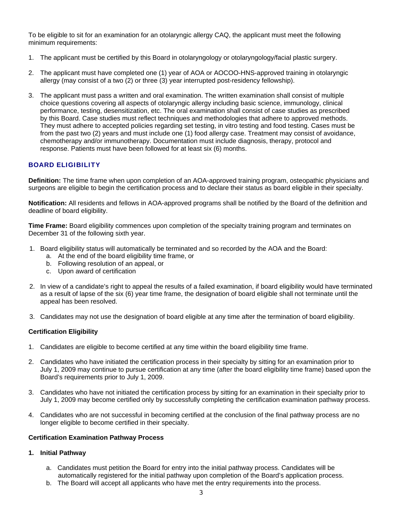To be eligible to sit for an examination for an otolaryngic allergy CAQ, the applicant must meet the following minimum requirements:

- 1. The applicant must be certified by this Board in otolaryngology or otolaryngology/facial plastic surgery.
- 2. The applicant must have completed one (1) year of AOA or AOCOO-HNS-approved training in otolaryngic allergy (may consist of a two (2) or three (3) year interrupted post-residency fellowship).
- 3. The applicant must pass a written and oral examination. The written examination shall consist of multiple choice questions covering all aspects of otolaryngic allergy including basic science, immunology, clinical performance, testing, desensitization, etc. The oral examination shall consist of case studies as prescribed by this Board. Case studies must reflect techniques and methodologies that adhere to approved methods. They must adhere to accepted policies regarding set testing, in vitro testing and food testing. Cases must be from the past two (2) years and must include one (1) food allergy case. Treatment may consist of avoidance, chemotherapy and/or immunotherapy. Documentation must include diagnosis, therapy, protocol and response. Patients must have been followed for at least six (6) months.

# BOARD ELIGIBILITY

**Definition:** The time frame when upon completion of an AOA-approved training program, osteopathic physicians and surgeons are eligible to begin the certification process and to declare their status as board eligible in their specialty.

**Notification:** All residents and fellows in AOA-approved programs shall be notified by the Board of the definition and deadline of board eligibility.

**Time Frame:** Board eligibility commences upon completion of the specialty training program and terminates on December 31 of the following sixth year.

- 1. Board eligibility status will automatically be terminated and so recorded by the AOA and the Board:
	- a. At the end of the board eligibility time frame, or
	- b. Following resolution of an appeal, or
	- c. Upon award of certification
- 2. In view of a candidate's right to appeal the results of a failed examination, if board eligibility would have terminated as a result of lapse of the six (6) year time frame, the designation of board eligible shall not terminate until the appeal has been resolved.
- 3. Candidates may not use the designation of board eligible at any time after the termination of board eligibility.

# **Certification Eligibility**

- 1. Candidates are eligible to become certified at any time within the board eligibility time frame.
- 2. Candidates who have initiated the certification process in their specialty by sitting for an examination prior to July 1, 2009 may continue to pursue certification at any time (after the board eligibility time frame) based upon the Board's requirements prior to July 1, 2009.
- 3. Candidates who have not initiated the certification process by sitting for an examination in their specialty prior to July 1, 2009 may become certified only by successfully completing the certification examination pathway process.
- 4. Candidates who are not successful in becoming certified at the conclusion of the final pathway process are no longer eligible to become certified in their specialty.

### **Certification Examination Pathway Process**

### **1. Initial Pathway**

- a. Candidates must petition the Board for entry into the initial pathway process. Candidates will be automatically registered for the initial pathway upon completion of the Board's application process.
- b. The Board will accept all applicants who have met the entry requirements into the process.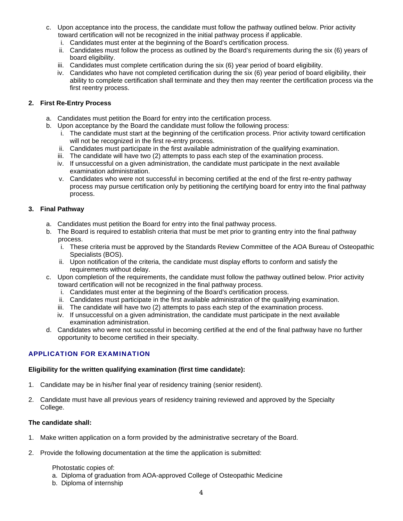- c. Upon acceptance into the process, the candidate must follow the pathway outlined below. Prior activity toward certification will not be recognized in the initial pathway process if applicable.
	- i. Candidates must enter at the beginning of the Board's certification process.
	- ii. Candidates must follow the process as outlined by the Board's requirements during the six (6) years of board eligibility.
	- iii. Candidates must complete certification during the six (6) year period of board eligibility.
	- iv. Candidates who have not completed certification during the six (6) year period of board eligibility, their ability to complete certification shall terminate and they then may reenter the certification process via the first reentry process.

# **2. First Re-Entry Process**

- a. Candidates must petition the Board for entry into the certification process.
- b. Upon acceptance by the Board the candidate must follow the following process:
	- i. The candidate must start at the beginning of the certification process. Prior activity toward certification will not be recognized in the first re-entry process.
	- ii. Candidates must participate in the first available administration of the qualifying examination.
	- iii. The candidate will have two (2) attempts to pass each step of the examination process.
	- iv. If unsuccessful on a given administration, the candidate must participate in the next available examination administration.
	- v. Candidates who were not successful in becoming certified at the end of the first re-entry pathway process may pursue certification only by petitioning the certifying board for entry into the final pathway process.

# **3. Final Pathway**

- a. Candidates must petition the Board for entry into the final pathway process.
- b. The Board is required to establish criteria that must be met prior to granting entry into the final pathway process.
	- i. These criteria must be approved by the Standards Review Committee of the AOA Bureau of Osteopathic Specialists (BOS).
	- ii. Upon notification of the criteria, the candidate must display efforts to conform and satisfy the requirements without delay.
- c. Upon completion of the requirements, the candidate must follow the pathway outlined below. Prior activity toward certification will not be recognized in the final pathway process.
	- i. Candidates must enter at the beginning of the Board's certification process.
	- ii. Candidates must participate in the first available administration of the qualifying examination.
	- iii. The candidate will have two (2) attempts to pass each step of the examination process.
	- iv. If unsuccessful on a given administration, the candidate must participate in the next available examination administration.
- d. Candidates who were not successful in becoming certified at the end of the final pathway have no further opportunity to become certified in their specialty.

# APPLICATION FOR EXAMINATION

# **Eligibility for the written qualifying examination (first time candidate):**

- 1. Candidate may be in his/her final year of residency training (senior resident).
- 2. Candidate must have all previous years of residency training reviewed and approved by the Specialty College.

# **The candidate shall:**

- 1. Make written application on a form provided by the administrative secretary of the Board.
- 2. Provide the following documentation at the time the application is submitted:

# Photostatic copies of:

a. Diploma of graduation from AOA-approved College of Osteopathic Medicine

b. Diploma of internship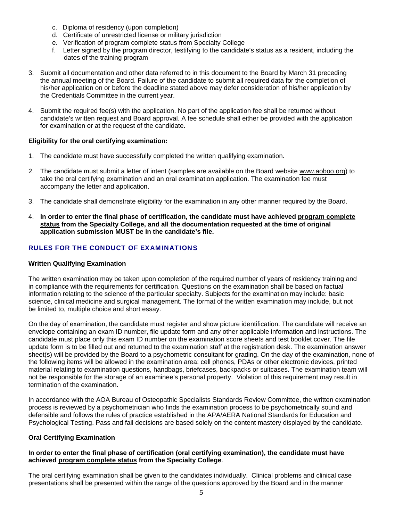- c. Diploma of residency (upon completion)
- d. Certificate of unrestricted license or military jurisdiction
- e. Verification of program complete status from Specialty College
- f. Letter signed by the program director, testifying to the candidate's status as a resident, including the dates of the training program
- 3. Submit all documentation and other data referred to in this document to the Board by March 31 preceding the annual meeting of the Board. Failure of the candidate to submit all required data for the completion of his/her application on or before the deadline stated above may defer consideration of his/her application by the Credentials Committee in the current year.
- 4. Submit the required fee(s) with the application. No part of the application fee shall be returned without candidate's written request and Board approval. A fee schedule shall either be provided with the application for examination or at the request of the candidate.

### **Eligibility for the oral certifying examination:**

- 1. The candidate must have successfully completed the written qualifying examination.
- 2. The candidate must submit a letter of intent (samples are available on the Board website www.aoboo.org) to take the oral certifying examination and an oral examination application. The examination fee must accompany the letter and application.
- 3. The candidate shall demonstrate eligibility for the examination in any other manner required by the Board.
- 4. **In order to enter the final phase of certification, the candidate must have achieved program complete status from the Specialty College, and all the documentation requested at the time of original application submission MUST be in the candidate's file.**

# RULES FOR THE CONDUCT OF EXAMINATIONS

### **Written Qualifying Examination**

The written examination may be taken upon completion of the required number of years of residency training and in compliance with the requirements for certification. Questions on the examination shall be based on factual information relating to the science of the particular specialty. Subjects for the examination may include: basic science, clinical medicine and surgical management. The format of the written examination may include, but not be limited to, multiple choice and short essay.

On the day of examination, the candidate must register and show picture identification. The candidate will receive an envelope containing an exam ID number, file update form and any other applicable information and instructions. The candidate must place only this exam ID number on the examination score sheets and test booklet cover. The file update form is to be filled out and returned to the examination staff at the registration desk. The examination answer sheet(s) will be provided by the Board to a psychometric consultant for grading. On the day of the examination, none of the following items will be allowed in the examination area: cell phones, PDAs or other electronic devices, printed material relating to examination questions, handbags, briefcases, backpacks or suitcases. The examination team will not be responsible for the storage of an examinee's personal property. Violation of this requirement may result in termination of the examination.

In accordance with the AOA Bureau of Osteopathic Specialists Standards Review Committee, the written examination process is reviewed by a psychometrician who finds the examination process to be psychometrically sound and defensible and follows the rules of practice established in the APA/AERA National Standards for Education and Psychological Testing. Pass and fail decisions are based solely on the content mastery displayed by the candidate.

# **Oral Certifying Examination**

### **In order to enter the final phase of certification (oral certifying examination), the candidate must have achieved program complete status from the Specialty College**.

The oral certifying examination shall be given to the candidates individually. Clinical problems and clinical case presentations shall be presented within the range of the questions approved by the Board and in the manner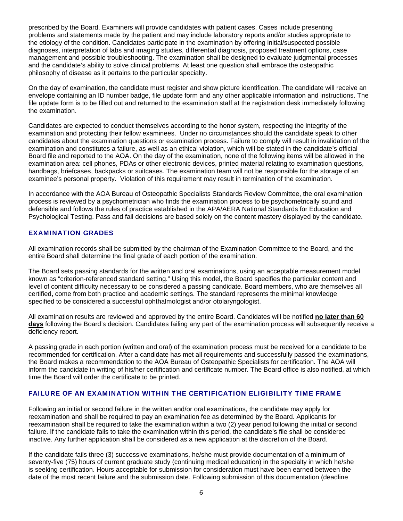prescribed by the Board. Examiners will provide candidates with patient cases. Cases include presenting problems and statements made by the patient and may include laboratory reports and/or studies appropriate to the etiology of the condition. Candidates participate in the examination by offering initial/suspected possible diagnoses, interpretation of labs and imaging studies, differential diagnosis, proposed treatment options, case management and possible troubleshooting. The examination shall be designed to evaluate judgmental processes and the candidate's ability to solve clinical problems. At least one question shall embrace the osteopathic philosophy of disease as it pertains to the particular specialty.

On the day of examination, the candidate must register and show picture identification. The candidate will receive an envelope containing an ID number badge, file update form and any other applicable information and instructions. The file update form is to be filled out and returned to the examination staff at the registration desk immediately following the examination.

Candidates are expected to conduct themselves according to the honor system, respecting the integrity of the examination and protecting their fellow examinees. Under no circumstances should the candidate speak to other candidates about the examination questions or examination process. Failure to comply will result in invalidation of the examination and constitutes a failure, as well as an ethical violation, which will be stated in the candidate's official Board file and reported to the AOA. On the day of the examination, none of the following items will be allowed in the examination area: cell phones, PDAs or other electronic devices, printed material relating to examination questions, handbags, briefcases, backpacks or suitcases. The examination team will not be responsible for the storage of an examinee's personal property. Violation of this requirement may result in termination of the examination.

In accordance with the AOA Bureau of Osteopathic Specialists Standards Review Committee, the oral examination process is reviewed by a psychometrician who finds the examination process to be psychometrically sound and defensible and follows the rules of practice established in the APA/AERA National Standards for Education and Psychological Testing. Pass and fail decisions are based solely on the content mastery displayed by the candidate.

# EXAMINATION GRADES

All examination records shall be submitted by the chairman of the Examination Committee to the Board, and the entire Board shall determine the final grade of each portion of the examination.

The Board sets passing standards for the written and oral examinations, using an acceptable measurement model known as "criterion-referenced standard setting." Using this model, the Board specifies the particular content and level of content difficulty necessary to be considered a passing candidate. Board members, who are themselves all certified, come from both practice and academic settings. The standard represents the minimal knowledge specified to be considered a successful ophthalmologist and/or otolaryngologist.

All examination results are reviewed and approved by the entire Board. Candidates will be notified **no later than 60 days** following the Board's decision. Candidates failing any part of the examination process will subsequently receive a deficiency report.

A passing grade in each portion (written and oral) of the examination process must be received for a candidate to be recommended for certification. After a candidate has met all requirements and successfully passed the examinations, the Board makes a recommendation to the AOA Bureau of Osteopathic Specialists for certification. The AOA will inform the candidate in writing of his/her certification and certificate number. The Board office is also notified, at which time the Board will order the certificate to be printed.

### FAILURE OF AN EXAMINATION WITHIN THE CERTIFICATION ELIGIBILITY TIME FRAME

Following an initial or second failure in the written and/or oral examinations, the candidate may apply for reexamination and shall be required to pay an examination fee as determined by the Board. Applicants for reexamination shall be required to take the examination within a two (2) year period following the initial or second failure. If the candidate fails to take the examination within this period, the candidate's file shall be considered inactive. Any further application shall be considered as a new application at the discretion of the Board.

If the candidate fails three (3) successive examinations, he/she must provide documentation of a minimum of seventy-five (75) hours of current graduate study (continuing medical education) in the specialty in which he/she is seeking certification. Hours acceptable for submission for consideration must have been earned between the date of the most recent failure and the submission date. Following submission of this documentation (deadline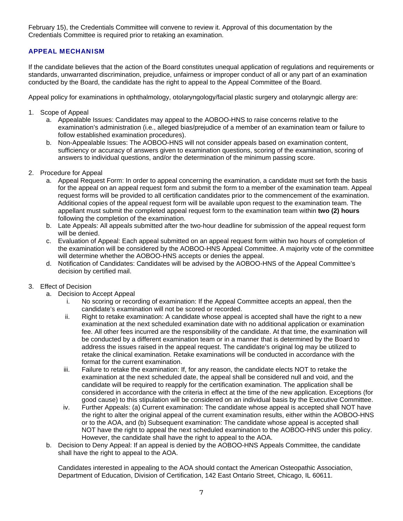February 15), the Credentials Committee will convene to review it. Approval of this documentation by the Credentials Committee is required prior to retaking an examination.

# APPEAL MECHANISM

If the candidate believes that the action of the Board constitutes unequal application of regulations and requirements or standards, unwarranted discrimination, prejudice, unfairness or improper conduct of all or any part of an examination conducted by the Board, the candidate has the right to appeal to the Appeal Committee of the Board.

Appeal policy for examinations in ophthalmology, otolaryngology/facial plastic surgery and otolaryngic allergy are:

- 1. Scope of Appeal
	- a. Appealable Issues: Candidates may appeal to the AOBOO-HNS to raise concerns relative to the examination's administration (i.e., alleged bias/prejudice of a member of an examination team or failure to follow established examination procedures).
	- b. Non-Appealable Issues: The AOBOO-HNS will not consider appeals based on examination content, sufficiency or accuracy of answers given to examination questions, scoring of the examination, scoring of answers to individual questions, and/or the determination of the minimum passing score.
- 2. Procedure for Appeal
	- a. Appeal Request Form: In order to appeal concerning the examination, a candidate must set forth the basis for the appeal on an appeal request form and submit the form to a member of the examination team. Appeal request forms will be provided to all certification candidates prior to the commencement of the examination. Additional copies of the appeal request form will be available upon request to the examination team. The appellant must submit the completed appeal request form to the examination team within **two (2) hours** following the completion of the examination.
	- b. Late Appeals: All appeals submitted after the two-hour deadline for submission of the appeal request form will be denied.
	- c. Evaluation of Appeal: Each appeal submitted on an appeal request form within two hours of completion of the examination will be considered by the AOBOO-HNS Appeal Committee. A majority vote of the committee will determine whether the AOBOO-HNS accepts or denies the appeal.
	- d. Notification of Candidates: Candidates will be advised by the AOBOO-HNS of the Appeal Committee's decision by certified mail.

# 3. Effect of Decision

- a. Decision to Accept Appeal
	- i. No scoring or recording of examination: If the Appeal Committee accepts an appeal, then the candidate's examination will not be scored or recorded.
	- ii. Right to retake examination: A candidate whose appeal is accepted shall have the right to a new examination at the next scheduled examination date with no additional application or examination fee. All other fees incurred are the responsibility of the candidate. At that time, the examination will be conducted by a different examination team or in a manner that is determined by the Board to address the issues raised in the appeal request. The candidate's original log may be utilized to retake the clinical examination. Retake examinations will be conducted in accordance with the format for the current examination.
	- iii. Failure to retake the examination: If, for any reason, the candidate elects NOT to retake the examination at the next scheduled date, the appeal shall be considered null and void, and the candidate will be required to reapply for the certification examination. The application shall be considered in accordance with the criteria in effect at the time of the new application. Exceptions (for good cause) to this stipulation will be considered on an individual basis by the Executive Committee.
	- iv. Further Appeals: (a) Current examination: The candidate whose appeal is accepted shall NOT have the right to alter the original appeal of the current examination results, either within the AOBOO-HNS or to the AOA, and (b) Subsequent examination: The candidate whose appeal is accepted shall NOT have the right to appeal the next scheduled examination to the AOBOO-HNS under this policy. However, the candidate shall have the right to appeal to the AOA.
- b. Decision to Deny Appeal: If an appeal is denied by the AOBOO-HNS Appeals Committee, the candidate shall have the right to appeal to the AOA.

Candidates interested in appealing to the AOA should contact the American Osteopathic Association, Department of Education, Division of Certification, 142 East Ontario Street, Chicago, IL 60611.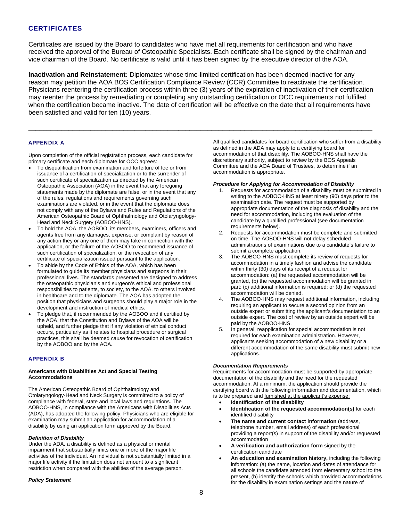# **CERTIFICATES**

Certificates are issued by the Board to candidates who have met all requirements for certification and who have received the approval of the Bureau of Osteopathic Specialists. Each certificate shall be signed by the chairman and vice chairman of the Board. No certificate is valid until it has been signed by the executive director of the AOA.

**Inactivation and Reinstatement:** Diplomates whose time-limited certification has been deemed inactive for any reason may petition the AOA BOS Certification Compliance Review (CCR) Committee to reactivate the certification. Physicians reentering the certification process within three (3) years of the expiration of inactivation of their certification may reenter the process by remediating or completing any outstanding certification or OCC requirements not fulfilled when the certification became inactive. The date of certification will be effective on the date that all requirements have been satisfied and valid for ten (10) years.

 $\Box$ 

#### APPENDIX A

Upon completion of the official registration process, each candidate for primary certificate and each diplomate for OCC agrees:

- To disqualification from examination and forfeiture of fee or from issuance of a certification of specialization or to the surrender of such certificate of specialization as directed by the American Osteopathic Association (AOA) in the event that any foregoing statements made by the diplomate are false, or in the event that any of the rules, regulations and requirements governing such examinations are violated, or in the event that the diplomate does not comply with any of the Bylaws and Rules and Regulations of the American Osteopathic Board of Ophthalmology and Otolaryngology-Head and Neck Surgery (AOBOO-HNS).
- To hold the AOA, the AOBOO, its members, examiners, officers and agents free from any damages, expense, or complaint by reason of any action they or any one of them may take in connection with the application, or the failure of the AOBOO to recommend issuance of such certification of specialization, or the revocation of any certificate of specialization issued pursuant to the application.
- To abide by the Code of Ethics of the AOA, which has been formulated to guide its member physicians and surgeons in their professional lives. The standards presented are designed to address the osteopathic physician's and surgeon's ethical and professional responsibilities to patients, to society, to the AOA, to others involved in healthcare and to the diplomate. The AOA has adopted the position that physicians and surgeons should play a major role in the development and instruction of medical ethics.
- To pledge that, if recommended by the AOBOO and if certified by the AOA, that the Constitution and Bylaws of the AOA will be upheld, and further pledge that if any violation of ethical conduct occurs, particularly as it relates to hospital procedure or surgical practices, this shall be deemed cause for revocation of certification by the AOBOO and by the AOA.

#### APPENDIX B

#### **Americans with Disabilities Act and Special Testing Accommodations**

The American Osteopathic Board of Ophthalmology and Otolaryngology-Head and Neck Surgery is committed to a policy of compliance with federal, state and local laws and regulations. The AOBOO-HNS, in compliance with the Americans with Disabilities Acts (ADA), has adopted the following policy. Physicians who are eligible for examination may submit an application for accommodation of a disability by using an application form approved by the Board.

#### *Definition of Disability*

Under the ADA, a disability is defined as a physical or mental impairment that substantially limits one or more of the major life activities of the individual. An individual is not substantially limited in a major life activity if the limitation does not amount to a significant restriction when compared with the abilities of the average person.

#### *Policy Statement*

All qualified candidates for board certification who suffer from a disability as defined in the ADA may apply to a certifying board for accommodation of that disability. The AOBOO-HNS shall have the discretionary authority, subject to review by the BOS Appeals Committee and the AOA Board of Trustees, to determine if an accommodation is appropriate.

#### *Procedure for Applying for Accommodation of Disability*

- 1. Requests for accommodation of a disability must be submitted in writing to the AOBOO-HNS at least ninety (90) days prior to the examination date. The request must be supported by appropriate documentation of the diagnosis of disability and the need for accommodation, including the evaluation of the candidate by a qualified professional (see documentation requirements below).
- 2. Requests for accommodation must be complete and submitted on time. The AOBOO-HNS will not delay scheduled administrations of examinations due to a candidate's failure to submit a complete application.
- 3. The AOBOO-HNS must complete its review of requests for accommodation in a timely fashion and advise the candidate within thirty (30) days of its receipt of a request for accommodation: (a) the requested accommodation will be granted, (b) the requested accommodation will be granted in part; (c) additional information is required; or (d) the requested accommodation will be denied.
- 4. The AOBOO-HNS may request additional information, including requiring an applicant to secure a second opinion from an outside expert or submitting the applicant's documentation to an outside expert. The cost of review by an outside expert will be paid by the AOBOO-HNS.
- 5. In general, reapplication for special accommodation is not required for each examination administration. However, applicants seeking accommodation of a new disability or a different accommodation of the same disability must submit new applications.

#### *Documentation Requirements*

Requirements for accommodation must be supported by appropriate documentation of the disability and the need for the requested accommodation. At a minimum, the application should provide the certifying board with the following information and documentation, which is to be prepared and furnished at the applicant's expense:

- **Identification of the disability**
- **Identification of the requested accommodation(s)** for each identified disability
- **The name and current contact information** (address, telephone number, email address) of each professional providing a report(s) in support of the disability and/or requested accommodation
- **A verification and authorization form** signed by the certification candidate
- **An education and examination history,** including the following information: (a) the name, location and dates of attendance for all schools the candidate attended from elementary school to the present, (b) identify the schools which provided accommodations for the disability in examination settings and the nature of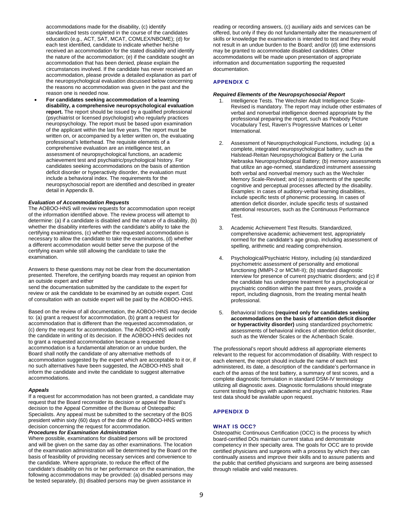accommodations made for the disability, (c) identify standardized tests completed in the course of the candidates education (e.g., ACT, SAT, MCAT, COMLEX/NBOME); (d) for each test identified, candidate to indicate whether he/she received an accommodation for the stated disability and identify the nature of the accommodation; (e) if the candidate sought an accommodation that has been denied, please explain the circumstances involved. If the candidate has never received an accommodation, please provide a detailed explanation as part of the neuropsychological evaluation discussed below concerning the reasons no accommodation was given in the past and the reason one is needed now.

 **For candidates seeking accommodation of a learning disability, a comprehensive neuropsychological evaluation report.** The report should be issued by a qualified professional (psychiatrist or licensed psychologist) who regularly practices neuropsychology. The report must be based upon examination of the applicant within the last five years. The report must be written on, or accompanied by a letter written on, the evaluating professional's letterhead. The requisite elements of a comprehensive evaluation are an intelligence test, an assessment of neuropsychological functions, an academic achievement test and psychiatric/psychological history. For candidates seeking accommodations on the basis of attention deficit disorder or hyperactivity disorder, the evaluation must include a behavioral index. The requirements for the neuropsychosocial report are identified and described in greater detail in Appendix B.

#### *Evaluation of Accommodation Requests*

The AOBOO-HNS will review requests for accommodation upon receipt of the information identified above. The review process will attempt to determine: (a) if a candidate is disabled and the nature of a disability, (b) whether the disability interferes with the candidate's ability to take the certifying examinations, (c) whether the requested accommodation is necessary to allow the candidate to take the examinations, (d) whether a different accommodation would better serve the purpose of the certifying exam while still allowing the candidate to take the examination.

Answers to these questions may not be clear from the documentation presented. Therefore, the certifying boards may request an opinion from an outside expert and either

send the documentation submitted by the candidate to the expert for review or ask the candidate to be examined by an outside expert. Cost of consultation with an outside expert will be paid by the AOBOO-HNS.

Based on the review of all documentation, the AOBOO-HNS may decide to: (a) grant a request for accommodation, (b) grant a request for accommodation that is different than the requested accommodation, or (c) deny the request for accommodation. The AOBOO-HNS will notify the candidate in writing of its decision. If the AOBOO-HNS decides not to grant a requested accommodation because a requested accommodation is a fundamental alteration or an undue burden, the Board shall notify the candidate of any alternative methods of accommodation suggested by the expert which are acceptable to it or, if no such alternatives have been suggested, the AOBOO-HNS shall inform the candidate and invite the candidate to suggest alternative accommodations.

#### *Appeals*

If a request for accommodation has not been granted, a candidate may request that the Board reconsider its decision or appeal the Board's decision to the Appeal Committee of the Bureau of Osteopathic Specialists. Any appeal must be submitted to the secretary of the BOS president within sixty (60) days of the date of the AOBOO-HNS written decision concerning the request for accommodation.

#### *Procedures for Examination Administration*

Where possible, examinations for disabled persons will be proctored and will be given on the same day as other examinations. The location of the examination administration will be determined by the Board on the basis of feasibility of providing necessary services and convenience to the candidate. Where appropriate, to reduce the effect of the candidate's disability on his or her performance on the examination, the following accommodations may be provided: (a) disabled persons may be tested separately, (b) disabled persons may be given assistance in

reading or recording answers, (c) auxiliary aids and services can be offered, but only if they do not fundamentally alter the measurement of skills or knowledge the examination is intended to test and they would not result in an undue burden to the Board; and/or (d) time extensions may be granted to accommodate disabled candidates. Other accommodations will be made upon presentation of appropriate information and documentation supporting the requested documentation.

#### APPENDIX C

#### *Required Elements of the Neuropsychosocial Report*

- Intelligence Tests. The Wechsler Adult Intelligence Scale-Revised is mandatory. The report may include other estimates of verbal and nonverbal intelligence deemed appropriate by the professional preparing the report, such as Peabody Picture Vocabulary Test, Raven's Progressive Matrices or Leiter International.
- 2. Assessment of Neuropsychological Functions, including: (a) a complete, integrated neuropsychological battery, such as the Halstead-Reitan Neuropsychological Battery or the Luria Nebraska Neuropsychological Battery; (b) memory assessments that utilize an age-normed, standardized instrument assessing both verbal and nonverbal memory such as the Wechsler Memory Scale-Revised; and (c) assessments of the specific cognitive and perceptual processes affected by the disability. Examples: in cases of auditory-verbal learning disabilities, include specific tests of phonemic processing. In cases of attention deficit disorder, include specific tests of sustained attentional resources, such as the Continuous Performance Test.
- 3. Academic Achievement Test Results. Standardized, comprehensive academic achievement test, appropriately normed for the candidate's age group, including assessment of spelling, arithmetic and reading comprehension.
- 4. Psychological/Psychiatric History, including (a) standardized psychometric assessment of personality and emotional functioning (MMPI-2 or MCMI-II); (b) standard diagnostic interview for presence of current psychiatric disorders; and (c) if the candidate has undergone treatment for a psychological or psychiatric condition within the past three years, provide a report, including diagnosis, from the treating mental health professional.
- 5. Behavioral Indices **(required only for candidates seeking accommodations on the basis of attention deficit disorder or hyperactivity disorder)** using standardized psychometric assessments of behavioral indices of attention deficit disorder, such as the Wender Scales or the Achenbach Scale.

The professional's report should address all appropriate elements relevant to the request for accommodation of disability. With respect to each element, the report should include the name of each test administered, its date, a description of the candidate's performance in each of the areas of the test battery, a summary of test scores, and a complete diagnostic formulation in standard DSM-IV terminology utilizing all diagnostic axes. Diagnostic formulations should integrate current testing findings with academic and psychiatric histories. Raw test data should be available upon request.

#### APPENDIX D

#### WHAT IS OCC?

Osteopathic Continuous Certification (OCC) is the process by which board-certified DOs maintain current status and demonstrate competency in their specialty area. The goals for OCC are to provide certified physicians and surgeons with a process by which they can continually assess and improve their skills and to assure patients and the public that certified physicians and surgeons are being assessed through reliable and valid measures.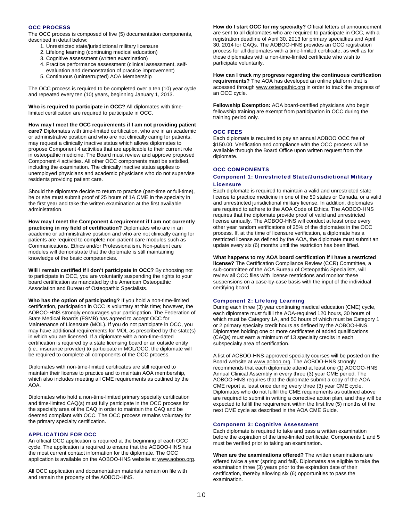#### OCC PROCESS

The OCC process is composed of five (5) documentation components, described in detail below:

- 1. Unrestricted state/jurisdictional military licensure
- 2. Lifelong learning (continuing medical education)
- 3. Cognitive assessment (written examination)
- 4. Practice performance assessment (clinical assessment, selfevaluation and demonstration of practice improvement)
- 5. Continuous (uninterrupted) AOA Membership

The OCC process is required to be completed over a ten (10) year cycle and repeated every ten (10) years, beginning January 1, 2013.

**Who is required to participate in OCC?** All diplomates with timelimited certification are required to participate in OCC.

**How may I meet the OCC requirements if I am not providing patient care?** Diplomates with time-limited certification, who are in an academic or administrative position and who are not clinically caring for patients, may request a clinically inactive status which allows diplomates to propose Component 4 activities that are applicable to their current role in osteopathic medicine. The Board must review and approve proposed Component 4 activities. All other OCC components must be satisfied, including the examination. The clinically inactive status applies to unemployed physicians and academic physicians who do not supervise residents providing patient care.

Should the diplomate decide to return to practice (part-time or full-time), he or she must submit proof of 25 hours of 1A CME in the specialty in the first year and take the written examination at the first available administration.

**How may I meet the Component 4 requirement if I am not currently practicing in my field of certification?** Diplomates who are in an academic or administrative position and who are not clinically caring for patients are required to complete non-patient care modules such as Communications, Ethics and/or Professionalism. Non-patient care modules will demonstrate that the diplomate is still maintaining knowledge of the basic competencies.

**Will I remain certified if I don't participate in OCC?** By choosing not to participate in OCC, you are voluntarily suspending the rights to your board certification as mandated by the American Osteopathic Association and Bureau of Osteopathic Specialists.

**Who has the option of participating?** If you hold a non-time-limited certification, participation in OCC is voluntary at this time; however, the AOBOO-HNS strongly encourages your participation. The Federation of State Medical Boards (FSMB) has agreed to accept OCC for Maintenance of Licensure (MOL). If you do not participate in OCC, you may have additional requirements for MOL as prescribed by the state(s) in which you are licensed. If a diplomate with a non-time-dated certification is required by a state licensing board or an outside entity (i.e., insurance provider) to participate in MOL/OCC, the diplomate will be required to complete all components of the OCC process.

Diplomates with non-time-limited certificates are still required to maintain their license to practice and to maintain AOA membership, which also includes meeting all CME requirements as outlined by the AOA.

Diplomates who hold a non-time-limited primary specialty certification and time-limited CAQ(s) must fully participate in the OCC process for the specialty area of the CAQ in order to maintain the CAQ and be deemed compliant with OCC. The OCC process remains voluntary for the primary specialty certification.

### APPLICATION FOR OCC

An official OCC application is required at the beginning of each OCC cycle. The application is required to ensure that the AOBOO-HNS has the most current contact information for the diplomate. The OCC application is available on the AOBOO-HNS website at www.aoboo.org.

All OCC application and documentation materials remain on file with and remain the property of the AOBOO-HNS.

**How do I start OCC for my specialty?** Official letters of announcement are sent to all diplomates who are required to participate in OCC, with a registration deadline of April 30, 2013 for primary specialties and April 30, 2014 for CAQs. The AOBOO-HNS provides an OCC registration process for all diplomates with a time-limited certificate, as well as for those diplomates with a non-time-limited certificate who wish to participate voluntarily.

**How can I track my progress regarding the continuous certification requirements?** The AOA has developed an online platform that is accessed through www.osteopathic.org in order to track the progress of an OCC cycle.

**Fellowship Exemption:** AOA board-certified physicians who begin fellowship training are exempt from participation in OCC during the training period only.

#### OCC FEES

Each diplomate is required to pay an annual AOBOO OCC fee of \$150.00. Verification and compliance with the OCC process will be available through the Board Office upon written request from the diplomate.

#### OCC COMPONENTS

#### Component 1: Unrestricted State/Jurisdictional Military **Licensure**

Each diplomate is required to maintain a valid and unrestricted state license to practice medicine in one of the 50 states or Canada, or a valid and unrestricted jurisdictional military license. In addition, diplomates are required to adhere to the AOA Code of Ethics. The AOBOO-HNS requires that the diplomate provide proof of valid and unrestricted license annually. The AOBOO-HNS will conduct at least once every other year random verifications of 25% of the diplomates in the OCC process. If, at the time of licensure verification, a diplomate has a restricted license as defined by the AOA, the diplomate must submit an update every six (6) months until the restriction has been lifted.

#### **What happens to my AOA board certification if I have a restricted**

**license?** The Certification Compliance Review (CCR) Committee, a sub-committee of the AOA Bureau of Osteopathic Specialists, will review all OCC files with license restrictions and monitor these suspensions on a case-by-case basis with the input of the individual certifying board.

#### Component 2: Lifelong Learning

During each three (3) year continuing medical education (CME) cycle, each diplomate must fulfill the AOA-required 120 hours, 30 hours of which must be Category 1A, and 50 hours of which must be Category 1 or 2 primary specialty credit hours as defined by the AOBOO-HNS. Diplomates holding one or more certificates of added qualifications (CAQs) must earn a minimum of 13 specialty credits in each subspecialty area of certification.

A list of AOBOO-HNS-approved specialty courses will be posted on the Board website at www.aoboo.org. The AOBOO-HNS strongly recommends that each diplomate attend at least one (1) AOCOO-HNS Annual Clinical Assembly in every three (3) year CME period. The AOBOO-HNS requires that the diplomate submit a copy of the AOA CME report at least once during every three (3) year CME cycle. Diplomates who do not fulfill the CME requirements as outlined above are required to submit in writing a corrective action plan, and they will be expected to fulfill the requirement within the first five (5) months of the next CME cycle as described in the AOA CME Guide.

#### Component 3: Cognitive Assessment

Each diplomate is required to take and pass a written examination before the expiration of the time-limited certificate. Components 1 and 5 must be verified prior to taking an examination.

**When are the examinations offered?** The written examinations are offered twice a year (spring and fall). Diplomates are eligible to take the examination three (3) years prior to the expiration date of their certification, thereby allowing six (6) opportunities to pass the examination.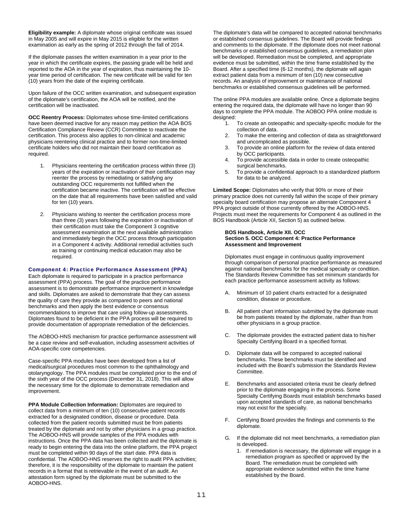**Eligibility example:** A diplomate whose original certificate was issued in May 2005 and will expire in May 2015 is eligible for the written examination as early as the spring of 2012 through the fall of 2014.

If the diplomate passes the written examination in a year prior to the year in which the certificate expires, the passing grade will be held and reported to the AOA in the year of expiration, thus maintaining the 10 year time period of certification. The new certificate will be valid for ten (10) years from the date of the expiring certificate.

Upon failure of the OCC written examination, and subsequent expiration of the diplomate's certification, the AOA will be notified, and the certification will be inactivated.

**OCC Reentry Process:** Diplomates whose time-limited certifications have been deemed inactive for any reason may petition the AOA BOS Certification Compliance Review (CCR) Committee to reactivate the certification. This process also applies to non-clinical and academic physicians reentering clinical practice and to former non-time-limited certificate holders who did not maintain their board certification as required.

- 1. Physicians reentering the certification process within three (3) years of the expiration or inactivation of their certification may reenter the process by remediating or satisfying any outstanding OCC requirements not fulfilled when the certification became inactive. The certification will be effective on the date that all requirements have been satisfied and valid for ten (10) years.
- 2. Physicians wishing to reenter the certification process more than three (3) years following the expiration or inactivation of their certification must take the Component 3 cognitive assessment examination at the next available administration and immediately begin the OCC process through participation in a Component 4 activity. Additional remedial activities such as training or continuing medical education may also be required.

#### Component 4: Practice Performance Assessment (PPA)

Each diplomate is required to participate in a practice performance assessment (PPA) process. The goal of the practice performance assessment is to demonstrate performance improvement in knowledge and skills. Diplomates are asked to demonstrate that they can assess the quality of care they provide as compared to peers and national benchmarks and then apply the best evidence or consensus recommendations to improve that care using follow-up assessments. Diplomates found to be deficient in the PPA process will be required to provide documentation of appropriate remediation of the deficiencies.

The AOBOO-HNS mechanism for practice performance assessment will be a case review and self-evaluation, including assessment activities of AOA-specific core competencies.

Case-specific PPA modules have been developed from a list of medical/surgical procedures most common to the ophthalmology and otolaryngology. The PPA modules must be completed prior to the end of the sixth year of the OCC process (December 31, 2018). This will allow the necessary time for the diplomate to demonstrate remediation and improvement.

**PPA Module Collection Information:** Diplomates are required to collect data from a minimum of ten (10) consecutive patient records extracted for a designated condition, disease or procedure. Data collected from the patient records submitted must be from patients treated by the diplomate and not by other physicians in a group practice. The AOBOO-HNS will provide samples of the PPA modules with instructions. Once the PPA data has been collected and the diplomate is ready to begin entering the data into the online platform, the PPA project must be completed within 90 days of the start date. PPA data is confidential. The AOBOO-HNS reserves the right to audit PPA activities; therefore, it is the responsibility of the diplomate to maintain the patient records in a format that is retrievable in the event of an audit. An attestation form signed by the diplomate must be submitted to the AOBOO-HNS.

The diplomate's data will be compared to accepted national benchmarks or established consensus guidelines. The Board will provide findings and comments to the diplomate. If the diplomate does not meet national benchmarks or established consensus guidelines, a remediation plan will be developed. Remediation must be completed, and appropriate evidence must be submitted, within the time frame established by the Board. After a specified time (6-12 months), the diplomate will again extract patient data from a minimum of ten (10) new consecutive records. An analysis of improvement or maintenance of national benchmarks or established consensus guidelines will be performed.

The online PPA modules are available online. Once a diplomate begins entering the required data, the diplomate will have no longer than 90 days to complete the PPA module. The AOBOO PPA online module is designed:

- 1. To create an osteopathic and specialty-specific module for the collection of data.
- 2. To make the entering and collection of data as straightforward and uncomplicated as possible.
- 3. To provide an online platform for the review of data entered by OCC participants.
- 4. To provide accessible data in order to create osteopathic surgical benchmarks.
- 5. To provide a confidential approach to a standardized platform for data to be analyzed.

**Limited Scope:** Diplomates who verify that 90% or more of their primary practice does not currently fall within the scope of their primary specialty board certification may propose an alternate Component 4 PPA project outside of those currently offered by the AOBOO-HNS. Projects must meet the requirements for Component 4 as outlined in the BOS Handbook (Article XII, Section 5) as outlined below.

#### **BOS Handbook, Article XII. OCC Section 5. OCC Component 4: Practice Performance Assessment and Improvement**

Diplomates must engage in continuous quality improvement through comparison of personal practice performance as measured against national benchmarks for the medical specialty or condition. The Standards Review Committee has set minimum standards for each practice performance assessment activity as follows:

- A. Minimum of 10 patient charts extracted for a designated condition, disease or procedure.
- All patient chart information submitted by the diplomate must be from patients treated by the diplomate, rather than from other physicians in a group practice.
- C. The diplomate provides the extracted patient data to his/her Specialty Certifying Board in a specified format.
- D. Diplomate data will be compared to accepted national benchmarks. These benchmarks must be identified and included with the Board's submission the Standards Review Committee.
- E. Benchmarks and associated criteria must be clearly defined prior to the diplomate engaging in the process. Some Specialty Certifying Boards must establish benchmarks based upon accepted standards of care, as national benchmarks may not exist for the specialty.
- F. Certifying Board provides the findings and comments to the diplomate.
- G. If the diplomate did not meet benchmarks, a remediation plan is developed.
	- 1. If remediation is necessary, the diplomate will engage in a remediation program as specified or approved by the Board. The remediation must be completed with appropriate evidence submitted within the time frame established by the Board.